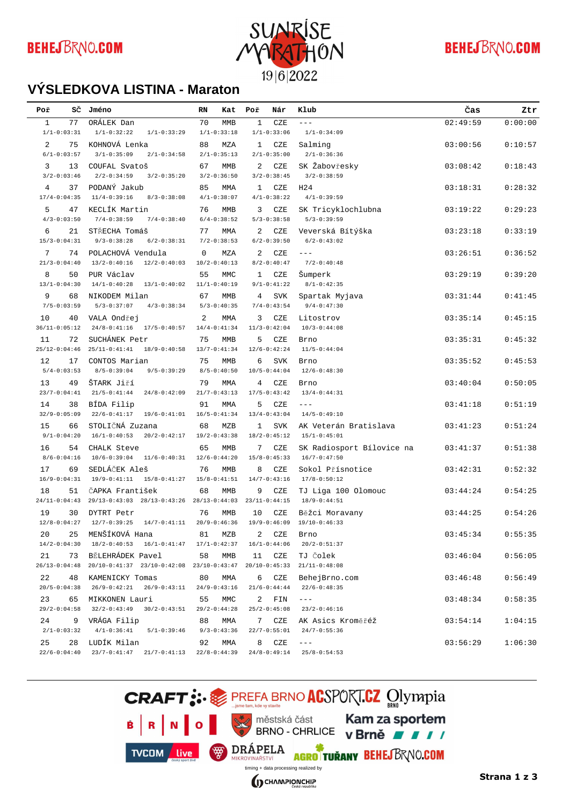

# **BEHEJBRNO.COM**

#### **VÝSLEDKOVÁ LISTINA - Maraton**

| Poř            | sč                      | Jméno                                                                                    | RN              | Kat                     | Poř         | Nár                     | Klub                                          | Čas      | Ztr     |
|----------------|-------------------------|------------------------------------------------------------------------------------------|-----------------|-------------------------|-------------|-------------------------|-----------------------------------------------|----------|---------|
| $\mathbf{1}$   | 77                      | ORÁLEK Dan                                                                               | 70              | <b>MMB</b>              | $\mathbf 1$ | CZE                     | $---$                                         | 02:49:59 | 0:00:00 |
|                | $1/1 - 0:03:31$         | $1/1 - 0:32:22$<br>$1/1 - 0:33:29$                                                       |                 | $1/1 - 0:33:18$         |             | $1/1 - 0:33:06$         | $1/1 - 0:34:09$                               |          |         |
| $\mathfrak{D}$ | 75                      | KOHNOVÁ Lenka                                                                            | 88              | MZA                     | 1           | CZE                     | Salming                                       | 03:00:56 | 0:10:57 |
|                | $6/1 - 0:03:57$         | $3/1 - 0:35:09$<br>$2/1 - 0:34:58$                                                       |                 | $2/1 - 0:35:13$         |             | $2/1 - 0:35:00$         | $2/1 - 0:36:36$                               |          |         |
| 3              | 13<br>$3/2 - 0:03:46$   | COUFAL Svatoš<br>$2/2 - 0:34:59$<br>$3/2 - 0:35:20$                                      | 67              | MMB<br>$3/2 - 0:36:50$  | 2           | CZE<br>$3/2 - 0:38:45$  | SK Žabovřesky<br>$3/2 - 0:38:59$              | 03:08:42 | 0:18:43 |
| $\overline{4}$ | 37                      | PODANÝ Jakub                                                                             | 85              | MMA                     | 1           | CZE                     | H <sub>24</sub>                               | 03:18:31 | 0:28:32 |
|                | $17/4 - 0:04:35$        | $11/4 - 0:39:16$<br>$8/3 - 0:38:08$                                                      |                 | $4/1 - 0:38:07$         |             | $4/1 - 0:38:22$         | $4/1 - 0:39:59$                               |          |         |
| 5              | 47                      | KECLÍK Martin                                                                            | 76              | MMB                     | 3           | CZE                     | SK Tricyklochlubna                            | 03:19:22 | 0:29:23 |
|                | $4/3 - 0:03:50$         | $7/4 - 0:38:59$<br>$7/4 - 0:38:40$                                                       |                 | $6/4 - 0:38:52$         |             | $5/3 - 0:38:58$         | $5/3 - 0:39:59$                               |          |         |
| 6              | 21                      | STŘECHA Tomáš                                                                            | 77              | MMA                     | 2           | CZE                     | Veverská Bítýška                              | 03:23:18 | 0:33:19 |
|                | $15/3 - 0:04:31$        | $9/3 - 0:38:28$<br>$6/2 - 0:38:31$                                                       |                 | $7/2 - 0:38:53$         |             | $6/2 - 0:39:50$         | $6/2 - 0:43:02$                               |          |         |
| 7              | 74                      | POLACHOVÁ Vendula                                                                        | $\mathbf 0$     | MZA                     | 2           | CZE                     | $---$                                         | 03:26:51 | 0:36:52 |
|                | $21/3 - 0:04:40$        | $13/2 - 0:40:16$<br>$12/2 - 0:40:03$                                                     |                 | $10/2 - 0:40:13$        |             | $8/2 - 0:40:47$         | $7/2 - 0:40:48$                               |          |         |
| 8              | 50                      | PUR Václav                                                                               | 55              | MMC                     | 1           | CZE                     | Šumperk                                       | 03:29:19 | 0:39:20 |
|                | $13/1 - 0:04:30$        | $14/1 - 0:40:28$<br>$13/1 - 0:40:02$                                                     |                 | $11/1 - 0:40:19$        |             | $9/1 - 0:41:22$         | $8/1 - 0:42:35$                               |          |         |
| 9              | 68                      | NIKODEM Milan                                                                            | 67              | <b>MMB</b>              | 4           | SVK                     | Spartak Myjava                                | 03:31:44 | 0:41:45 |
|                | $7/5 - 0:03:59$         | $5/3 - 0:37:07$<br>$4/3 - 0:38:34$                                                       |                 | $5/3 - 0:40:35$         |             | $7/4 - 0:43:54$         | $9/4 - 0:47:30$                               |          |         |
| 10             | 40<br>$36/11 - 0:05:12$ | VALA Ondřej<br>$24/8 - 0:41:16$<br>$17/5 - 0:40:57$                                      | 2               | MMA<br>$14/4 - 0:41:34$ | 3           | CZE<br>$11/3 - 0:42:04$ | Litostrov<br>$10/3 - 0:44:08$                 | 03:35:14 | 0:45:15 |
| 11             | 72                      | SUCHÁNEK Petr                                                                            | 75              | MMB                     | 5           | CZE                     | Brno                                          | 03:35:31 | 0:45:32 |
|                | $25/12 - 0:04:46$       | $25/11 - 0:41:41$<br>$18/9 - 0:40:58$                                                    |                 | $13/7 - 0:41:34$        |             | $12/6 - 0:42:24$        | $11/5 - 0:44:04$                              |          |         |
| 12             | 17                      | CONTOS Marian                                                                            | 75              | MMB                     | 6           | <b>SVK</b>              | Brno                                          | 03:35:52 | 0:45:53 |
|                | $5/4 - 0:03:53$         | $8/5 - 0:39:04$<br>$9/5 - 0:39:29$                                                       |                 | $8/5 - 0:40:50$         |             | $10/5 - 0:44:04$        | $12/6 - 0:48:30$                              |          |         |
| 13             | 49                      | ŠTARK Jiří                                                                               | 79              | MMA                     | 4           | CZE                     | Brno                                          | 03:40:04 | 0:50:05 |
|                | $23/7 - 0:04:41$        | $21/5 - 0:41:44$<br>$24/8 - 0:42:09$                                                     |                 | $21/7 - 0:43:13$        |             | $17/5 - 0:43:42$        | $13/4 - 0:44:31$                              |          |         |
| 14             | 38                      | BÍDA Filip                                                                               | 91              | MMA                     | 5           | CZE                     | $- - -$                                       | 03:41:18 | 0:51:19 |
|                | $32/9 - 0:05:09$        | $22/6 - 0:41:17$<br>$19/6 - 0:41:01$                                                     |                 | $16/5 - 0:41:34$        |             | $13/4 - 0:43:04$        | $14/5 - 0:49:10$                              |          |         |
| 15             | 66                      | STOLIČNÁ Zuzana                                                                          | 68              | MZB                     | 1           | <b>SVK</b>              | AK Veterán Bratislava                         | 03:41:23 | 0:51:24 |
|                | $9/1 - 0:04:20$         | $16/1 - 0:40:53$<br>$20/2 - 0:42:17$                                                     |                 | $19/2 - 0:43:38$        |             | $18/2 - 0:45:12$        | $15/1 - 0:45:01$                              |          |         |
| 16             | 54<br>$8/6 - 0:04:16$   | CHALK Steve<br>$10/6 - 0:39:04$<br>$11/6 - 0:40:31$                                      | 65              | MMB<br>$12/6 - 0:44:20$ | 7           | CZE<br>$15/8 - 0:45:33$ | SK Radiosport Bílovice na<br>$16/7 - 0:47:50$ | 03:41:37 | 0:51:38 |
|                |                         | SEDLÁČEK Aleš                                                                            |                 |                         |             |                         |                                               |          |         |
| 17             | 69<br>$16/9 - 0:04:31$  | $19/9 - 0:41:11$<br>$15/8 - 0:41:27$                                                     | 76              | MMB<br>$15/8 - 0:41:51$ | 8           | CZE<br>$14/7 - 0:43:16$ | Sokol Přísnotice<br>$17/8 - 0:50:12$          | 03:42:31 | 0:52:32 |
| 18             | 51                      | ČAPKA František                                                                          | 68              | <b>MMB</b>              | 9           | CZE                     | TJ Liga 100 Olomouc                           | 03:44:24 | 0:54:25 |
|                | $24/11 - 0:04:43$       | 29/13-0:43:03 28/13-0:43:26 28/13-0:44:03                                                |                 |                         |             | $23/11-0:44:15$         | $18/9 - 0:44:51$                              |          |         |
| 19             | 30                      | DYTRT Petr                                                                               | 76              | <b>MMB</b>              | 10          | CZE                     | Běžci Moravany                                | 03:44:25 | 0:54:26 |
|                | $12/8 - 0:04:27$        | $12/7 - 0:39:25$<br>$14/7 - 0:41:11$                                                     |                 | $20/9 - 0:46:36$        |             | $19/9 - 0:46:09$        | $19/10-0:46:33$                               |          |         |
| 20             | 25                      | MENŠÍKOVÁ Hana                                                                           | 81              | MZB                     | 2           | CZE                     | Brno                                          | 03:45:34 | 0:55:35 |
|                | $14/2 - 0:04:30$        | $18/2 - 0:40:53$ $16/1 - 0:41:47$ $17/1 - 0:42:37$                                       |                 |                         |             | $16/1 - 0:44:06$        | $20/2 - 0:51:37$                              |          |         |
| 21             | 73                      | BĚLEHRÁDEK Pavel                                                                         | 58              | MMB                     | 11          | CZE                     | TJ Čolek                                      | 03:46:04 | 0:56:05 |
|                |                         | 26/13-0:04:48 20/10-0:41:37 23/10-0:42:08 23/10-0:43:47                                  |                 |                         |             | $20/10-0:45:33$         | $21/11-0:48:08$                               |          |         |
| 22             | 48                      | KAMENICKY Tomas                                                                          | 80              | MMA                     | 6           | CZE                     | BehejBrno.com                                 | 03:46:48 | 0:56:49 |
|                |                         | $20/5 - 0:04:38$ $26/9 - 0:42:21$ $26/9 - 0:43:11$ $24/9 - 0:43:16$                      |                 |                         |             | $21/6 - 0:44:44$        | $22/6 - 0:48:35$                              |          |         |
| 23             | 65                      | MIKKONEN Lauri<br>$29/2 - 0:04:58$ $32/2 - 0:43:49$<br>$30/2 - 0:43:51$ $29/2 - 0:44:28$ | 55              | MMC                     | 2           | FIN<br>$25/2 - 0:45:08$ | $\bot$ $\bot$ $\bot$<br>$23/2 - 0:46:16$      | 03:48:34 | 0:58:35 |
| 24             |                         | 9 VRÁGA Filip                                                                            | 88              | MMA                     | 7           | CZE                     | AK Asics Kroměřéž                             | 03:54:14 | 1:04:15 |
|                | $2/1 - 0:03:32$         | $4/1-0:36:41$ $5/1-0:39:46$                                                              | $9/3 - 0:43:36$ |                         |             | $22/7 - 0:55:01$        | $24/7 - 0:55:36$                              |          |         |
| 25             |                         | 28 LUDÍK Milan                                                                           | 92              | MMA                     | 8           | CZE                     | $\bot$ $\bot$ $\bot$                          | 03:56:29 | 1:06:30 |
|                |                         | $22/6 - 0:04:40 \qquad 23/7 - 0:41:47 \qquad 21/7 - 0:41:13 \qquad 22/8 - 0:44:39$       |                 |                         |             | $24/8 - 0:49:14$        | $25/8 - 0:54:53$                              |          |         |

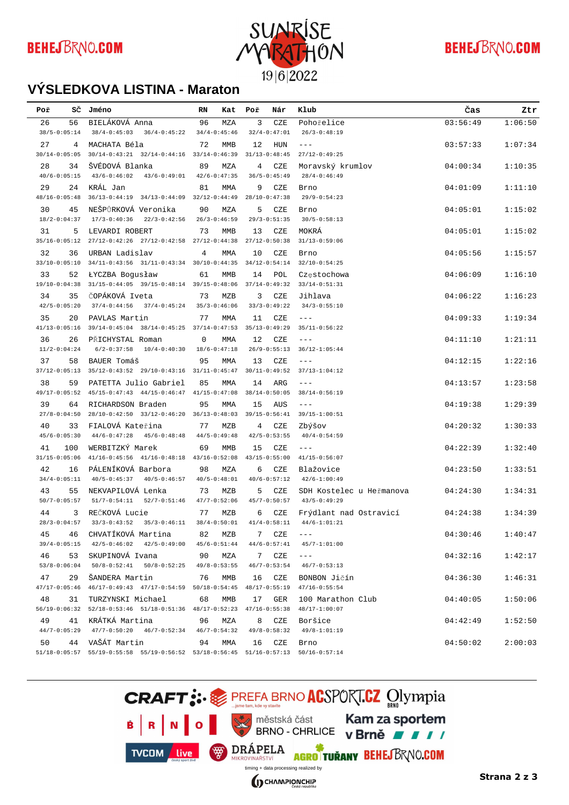

## **BEHEJBRNO.COM**

#### **VÝSLEDKOVÁ LISTINA - Maraton**

| Poř               | sč                | Jméno                                                                                                                           | RN           | Kat               | Poř | Nár               | Klub                      | Čas      | Ztr     |
|-------------------|-------------------|---------------------------------------------------------------------------------------------------------------------------------|--------------|-------------------|-----|-------------------|---------------------------|----------|---------|
| 26                | 56                | BIELÁKOVÁ Anna                                                                                                                  | 96           | MZA               | 3   | CZE               | Pohořelice                | 03:56:49 | 1:06:50 |
|                   | $38/5 - 0:05:14$  | $38/4 - 0:45:03$<br>$36/4 - 0:45:22$                                                                                            |              | $34/4 - 0:45:46$  |     | $32/4 - 0:47:01$  | $26/3 - 0:48:19$          |          |         |
| 27                | 4                 | MACHATA Béla                                                                                                                    | 72           | <b>MMB</b>        | 12  | HUN               | $---$                     | 03:57:33 | 1:07:34 |
| $30/14 - 0:05:05$ |                   | $30/14 - 0:43:21$ $32/14 - 0:44:16$ $33/14 - 0:46:39$                                                                           |              |                   |     | $31/13 - 0:48:45$ | $27/12 - 0:49:25$         |          |         |
| 28                | 34                | ŠVÉDOVÁ Blanka                                                                                                                  | 89           | MZA               | 4   | CZE               | Moravský krumlov          | 04:00:34 | 1:10:35 |
|                   | $40/6 - 0:05:15$  | $43/6 - 0:46:02$<br>$43/6 - 0:49:01$                                                                                            |              | $42/6 - 0:47:35$  |     | $36/5 - 0:45:49$  | $28/4 - 0:46:49$          |          |         |
| 29                | 24                | KRÁL Jan                                                                                                                        | 81           | MMA               | 9   | CZE               | Brno                      | 04:01:09 | 1:11:10 |
| $48/16 - 0:05:48$ |                   | 36/13-0:44:19 34/13-0:44:09 32/12-0:44:49                                                                                       |              |                   |     | $28/10-0:47:38$   | $29/9 - 0:54:23$          |          |         |
| 30                | 45                | NEŠPŮRKOVÁ Veronika                                                                                                             | 90           | MZA               | 5   | CZE               | Brno                      | 04:05:01 | 1:15:02 |
|                   | $18/2 - 0:04:37$  | $17/3 - 0:40:36$<br>$22/3 - 0:42:56$                                                                                            |              | $26/3 - 0:46:59$  |     | $29/3 - 0:51:35$  | $30/5 - 0:58:13$          |          |         |
| 31                | 5                 | LEVARDI ROBERT                                                                                                                  | 73           | MMB               | 13  | CZE               | MOKRÁ                     | 04:05:01 | 1:15:02 |
|                   | $35/16 - 0:05:12$ | 27/12-0:42:26 27/12-0:42:58                                                                                                     |              | $27/12 - 0:44:38$ |     | $27/12 - 0:50:38$ | $31/13 - 0:59:06$         |          |         |
| 32                | 36                | URBAN Ladislav                                                                                                                  | 4            | MMA               | 10  | CZE               | Brno                      | 04:05:56 | 1:15:57 |
|                   | $33/10 - 0:05:10$ | 34/11-0:43:56 31/11-0:43:34 30/10-0:44:35 34/12-0:54:14                                                                         |              |                   |     |                   | $32/10 - 0:54:25$         |          |         |
| 33                | 52                | <b><i>LYCZBA Bogusław</i></b>                                                                                                   | 61           | <b>MMB</b>        | 14  | POL               | Częstochowa               | 04:06:09 | 1:16:10 |
| $19/10 - 0:04:38$ |                   | 31/15-0:44:05  39/15-0:48:14  39/15-0:48:06                                                                                     |              |                   |     | $37/14 - 0:49:32$ | $33/14 - 0:51:31$         |          |         |
| 34                | 35                | ČOPÁKOVÁ Iveta                                                                                                                  | 73           | MZB               | 3   | $CZE$             | Jihlava                   | 04:06:22 | 1:16:23 |
|                   | $42/5 - 0:05:20$  | $37/4 - 0:44:56$<br>$37/4 - 0:45:24$                                                                                            |              | $35/3 - 0:46:06$  |     | $33/3 - 0:49:22$  | $34/3 - 0:55:10$          |          |         |
| 35                | 20                | PAVLAS Martin                                                                                                                   | 77           | MMA               | 11  | CZE               | $- - -$                   | 04:09:33 | 1:19:34 |
| $41/13 - 0:05:16$ |                   | 39/14-0:45:04 38/14-0:45:25 37/14-0:47:53                                                                                       |              |                   |     | $35/13 - 0:49:29$ | $35/11 - 0:56:22$         |          |         |
| 36                | 26                | PŘICHYSTAL Roman                                                                                                                | $\mathbf{0}$ | MMA               | 12  | CZE               | $---$                     | 04:11:10 | 1:21:11 |
|                   | $11/2 - 0:04:24$  | $6/2 - 0:37:58$<br>$10/4 - 0:40:30$                                                                                             |              | $18/6 - 0:47:18$  |     | $26/9 - 0:55:13$  | $36/12 - 1:05:44$         |          |         |
| 37                | 58                | BAUER Tomáš                                                                                                                     | 95           | MMA               | 13  | CZE               | $---$                     | 04:12:15 | 1:22:16 |
|                   | $37/12 - 0:05:13$ | 35/12-0:43:52 29/10-0:43:16 31/11-0:45:47                                                                                       |              |                   |     | $30/11 - 0:49:52$ | $37/13 - 1:04:12$         |          |         |
| 38                | 59                | PATETTA Julio Gabriel                                                                                                           | 85           | <b>MMA</b>        | 14  | ARG               | $---$                     | 04:13:57 | 1:23:58 |
|                   | $49/17 - 0:05:52$ | 45/15-0:47:43 44/15-0:46:47 41/15-0:47:08 38/14-0:50:05                                                                         |              |                   |     |                   | $38/14 - 0:56:19$         |          |         |
| 39                | 64                | RICHARDSON Braden                                                                                                               | 95           | <b>MMA</b>        | 15  | AUS               | $---$                     | 04:19:38 | 1:29:39 |
|                   | $27/8 - 0:04:50$  | 28/10-0:42:50 33/12-0:46:20 36/13-0:48:03 39/15-0:56:41                                                                         |              |                   |     |                   | $39/15 - 1:00:51$         |          |         |
| 40                | 33                | FIALOVÁ Kateřina                                                                                                                | 77           | MZB               | 4   | CZE               | Zbýšov                    | 04:20:32 | 1:30:33 |
|                   | $45/6 - 0:05:30$  | $44/6 - 0:47:28$<br>$45/6 - 0:48:48$                                                                                            |              | $44/5 - 0:49:48$  |     | $42/5 - 0:53:55$  | $40/4 - 0:54:59$          |          |         |
| 41                | 100               | WERBITZKÝ Marek                                                                                                                 | 69           | MMB               | 15  | CZE               | $---$                     | 04:22:39 | 1:32:40 |
|                   | $31/15 - 0:05:06$ | $41/16 - 0:45:56$ $41/16 - 0:48:18$                                                                                             |              | $43/16 - 0:52:08$ |     | $43/15 - 0:55:00$ | $41/15 - 0:56:07$         |          |         |
| 42                | 16                | PÁLENÍKOVÁ Barbora                                                                                                              | 98           | MZA               | 6   | CZE               | Blažovice                 | 04:23:50 | 1:33:51 |
|                   | $34/4 - 0:05:11$  | $40/5 - 0:45:37$<br>$40/5 - 0:46:57$                                                                                            |              | $40/5 - 0:48:01$  |     | $40/6 - 0:57:12$  | $42/6 - 1:00:49$          |          |         |
| 43                | 55                | NEKVAPILOVÁ Lenka                                                                                                               | 73           | MZB               | 5   | CZE               | SDH Kostelec u Heřmanova  | 04:24:30 | 1:34:31 |
|                   | $50/7 - 0:05:57$  | $51/7 - 0:54:11$<br>$52/7 - 0:51:46$                                                                                            |              | $47/7 - 0:52:06$  |     | $45/7 - 0:50:57$  | $43/5 - 0:49:29$          |          |         |
| 44                | 3                 | REČKOVÁ Lucie                                                                                                                   | 77           | MZB               | 6   | CZE               | Frýdlant nad Ostravicí    | 04:24:38 | 1:34:39 |
|                   | $28/3 - 0:04:57$  | $33/3 - 0:43:52$<br>$35/3 - 0:46:11$                                                                                            |              | $38/4 - 0:50:01$  |     | $41/4 - 0:58:11$  | $44/6 - 1:01:21$          |          |         |
| 45                | 46                | CHVATÍKOVÁ Martina                                                                                                              |              | 82 MZB            |     | 7 CZE             | $--\,$ $-$                | 04:30:46 | 1:40:47 |
|                   |                   | 39/4-0:05:15  42/5-0:46:02  42/5-0:49:00  45/6-0:51:44                                                                          |              |                   |     |                   | 44/6-0:57:41 45/7-1:01:00 |          |         |
| 46                |                   | 53 SKUPINOVÁ Ivana                                                                                                              |              | 90 MZA            |     | 7 CZE             | $- - -$                   | 04:32:16 | 1:42:17 |
|                   |                   | 53/8-0:06:04 50/8-0:52:41 50/8-0:52:25 49/8-0:53:55 46/7-0:53:54 46/7-0:53:13                                                   |              |                   |     |                   |                           |          |         |
| 47                |                   | 29 ŠANDERA Martin                                                                                                               | 76           | MMB               | 16  | CZE               | BONBON Jičín              | 04:36:30 | 1:46:31 |
|                   |                   | 47/17-0:05:46 46/17-0:49:43 47/17-0:54:59 50/18-0:54:45 48/17-0:55:19 47/16-0:55:54                                             |              |                   |     |                   |                           |          |         |
| 48                | 31                | TURZYNSKI Michael                                                                                                               | 68           | MMB               | 17  | GER               | 100 Marathon Club         | 04:40:05 | 1:50:06 |
|                   |                   | 56/19-0:06:32 52/18-0:53:46 51/18-0:51:36 48/17-0:52:23 47/16-0:55:38 48/17-1:00:07                                             |              |                   |     |                   |                           |          |         |
| 49                |                   | 41 KRÁTKÁ Martina                                                                                                               | 96           | MZA               |     | 8 CZE             | Boršice                   | 04:42:49 | 1:52:50 |
|                   |                   | $44/7 - 0:05:29$ $47/7 - 0:50:20$ $46/7 - 0:52:34$ $46/7 - 0:54:32$                                                             |              |                   |     | $49/8 - 0:58:32$  | $49/8 - 1:01:19$          |          |         |
| 50                |                   | 44 VAŠÁT Martin                                                                                                                 | 94           | MMA               | 16  | CZE               | Brno                      | 04:50:02 | 2:00:03 |
|                   |                   | $51/18 - 0:05:57 \quad 55/19 - 0:55:58 \quad 55/19 - 0:56:52 \quad 53/18 - 0:56:45 \quad 51/16 - 0:57:13 \quad 50/16 - 0:57:14$ |              |                   |     |                   |                           |          |         |